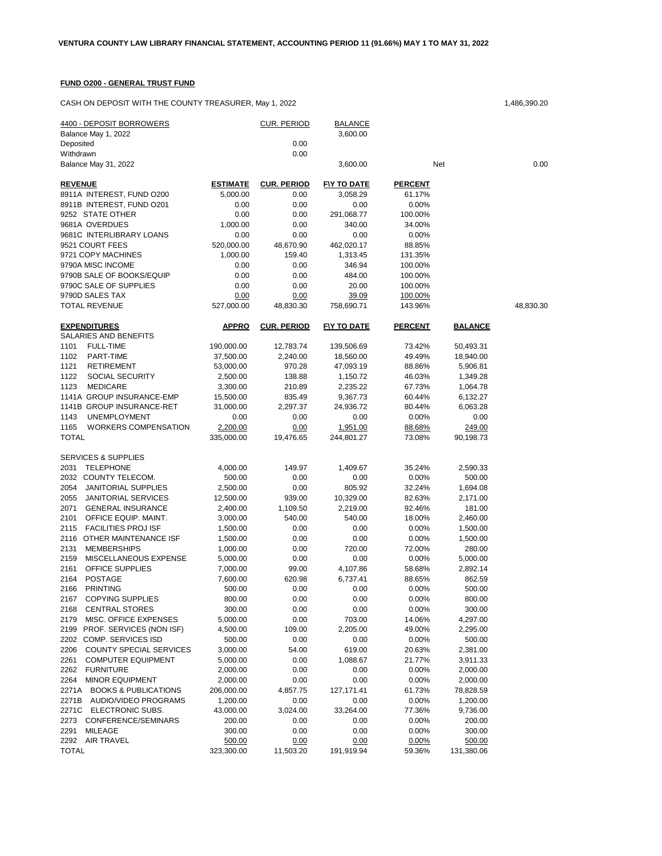## **FUND O200 - GENERAL TRUST FUND**

CASH ON DEPOSIT WITH THE COUNTY TREASURER, May 1, 2022 1,486,390.20 1,486,390.20

| 4400 - DEPOSIT BORROWERS<br>Balance May 1, 2022<br>Deposited |                        | <u>CUR. PERIOD</u><br>0.00 | <b>BALANCE</b><br>3,600.00 |                   |                    |           |
|--------------------------------------------------------------|------------------------|----------------------------|----------------------------|-------------------|--------------------|-----------|
| Withdrawn                                                    |                        | 0.00                       |                            |                   |                    |           |
| Balance May 31, 2022                                         |                        |                            | 3,600.00                   | Net               |                    | 0.00      |
| <b>REVENUE</b>                                               | <b>ESTIMATE</b>        | <b>CUR. PERIOD</b>         | <b>FIY TO DATE</b>         | <b>PERCENT</b>    |                    |           |
| 8911A INTEREST, FUND O200                                    | 5,000.00               | 0.00                       | 3,058.29                   | 61.17%            |                    |           |
| 8911B INTEREST, FUND O201                                    | 0.00                   | 0.00                       | 0.00                       | 0.00%             |                    |           |
| 9252 STATE OTHER                                             | 0.00                   | 0.00                       | 291,068.77                 | 100.00%           |                    |           |
| 9681A OVERDUES                                               | 1,000.00               | 0.00                       | 340.00                     | 34.00%            |                    |           |
| 9681C INTERLIBRARY LOANS<br>9521 COURT FEES                  | 0.00                   | 0.00                       | 0.00                       | 0.00%             |                    |           |
| 9721 COPY MACHINES                                           | 520,000.00<br>1,000.00 | 48,670.90<br>159.40        | 462,020.17<br>1,313.45     | 88.85%<br>131.35% |                    |           |
| 9790A MISC INCOME                                            | 0.00                   | 0.00                       | 346.94                     | 100.00%           |                    |           |
| 9790B SALE OF BOOKS/EQUIP                                    | 0.00                   | 0.00                       | 484.00                     | 100.00%           |                    |           |
| 9790C SALE OF SUPPLIES                                       | 0.00                   | 0.00                       | 20.00                      | 100.00%           |                    |           |
| 9790D SALES TAX                                              | 0.00                   | 0.00                       | 39.09                      | 100.00%           |                    |           |
| TOTAL REVENUE                                                | 527,000.00             | 48,830.30                  | 758,690.71                 | 143.96%           |                    | 48,830.30 |
| <b>EXPENDITURES</b>                                          | <b>APPRO</b>           | <b>CUR. PERIOD</b>         | <b>FIY TO DATE</b>         | <b>PERCENT</b>    | <b>BALANCE</b>     |           |
| SALARIES AND BENEFITS                                        |                        |                            |                            |                   |                    |           |
| 1101<br><b>FULL-TIME</b>                                     | 190,000.00             | 12,783.74                  | 139,506.69                 | 73.42%            | 50,493.31          |           |
| 1102<br>PART-TIME                                            | 37,500.00              | 2,240.00                   | 18,560.00                  | 49.49%            | 18,940.00          |           |
| 1121<br><b>RETIREMENT</b>                                    | 53,000.00              | 970.28                     | 47,093.19                  | 88.86%            | 5,906.81           |           |
| 1122<br>SOCIAL SECURITY                                      | 2,500.00               | 138.88                     | 1,150.72                   | 46.03%            | 1,349.28           |           |
| 1123<br><b>MEDICARE</b>                                      | 3,300.00               | 210.89                     | 2,235.22                   | 67.73%            | 1,064.78           |           |
| 1141A GROUP INSURANCE-EMP                                    | 15,500.00              | 835.49                     | 9,367.73                   | 60.44%            | 6,132.27           |           |
| 1141B GROUP INSURANCE-RET                                    | 31,000.00              | 2,297.37                   | 24,936.72                  | 80.44%            | 6,063.28           |           |
| 1143<br><b>UNEMPLOYMENT</b>                                  | 0.00                   | 0.00                       | 0.00                       | 0.00%             | 0.00               |           |
| 1165<br><b>WORKERS COMPENSATION</b>                          | 2,200.00               | 0.00                       | 1,951.00                   | 88.68%            | 249.00             |           |
| TOTAL                                                        | 335,000.00             | 19,476.65                  | 244,801.27                 | 73.08%            | 90,198.73          |           |
| <b>SERVICES &amp; SUPPLIES</b>                               |                        |                            |                            |                   |                    |           |
| 2031<br><b>TELEPHONE</b>                                     | 4,000.00               | 149.97                     | 1,409.67                   | 35.24%            | 2,590.33           |           |
| 2032<br>COUNTY TELECOM.                                      | 500.00                 | 0.00                       | 0.00                       | 0.00%             | 500.00             |           |
| 2054<br><b>JANITORIAL SUPPLIES</b>                           | 2,500.00               | 0.00                       | 805.92                     | 32.24%            | 1,694.08           |           |
| 2055<br><b>JANITORIAL SERVICES</b>                           | 12,500.00              | 939.00                     | 10,329.00                  | 82.63%            | 2,171.00           |           |
| 2071<br><b>GENERAL INSURANCE</b>                             | 2,400.00               | 1,109.50                   | 2,219.00                   | 92.46%            | 181.00             |           |
| 2101<br>OFFICE EQUIP. MAINT.                                 | 3,000.00               | 540.00                     | 540.00                     | 18.00%            | 2,460.00           |           |
| 2115<br><b>FACILITIES PROJ ISF</b>                           | 1,500.00               | 0.00                       | 0.00                       | 0.00%             | 1,500.00           |           |
| 2116<br>OTHER MAINTENANCE ISF<br>2131<br><b>MEMBERSHIPS</b>  | 1,500.00<br>1,000.00   | 0.00                       | 0.00                       | 0.00%             | 1,500.00           |           |
| 2159<br>MISCELLANEOUS EXPENSE                                | 5,000.00               | 0.00<br>0.00               | 720.00<br>0.00             | 72.00%<br>0.00%   | 280.00<br>5,000.00 |           |
| 2161<br>OFFICE SUPPLIES                                      | 7,000.00               | 99.00                      | 4,107.86                   | 58.68%            | 2,892.14           |           |
| 2164<br><b>POSTAGE</b>                                       | 7,600.00               | 620.98                     | 6,737.41                   | 88.65%            | 862.59             |           |
| 2166<br><b>PRINTING</b>                                      | 500.00                 | 0.00                       | 0.00                       | 0.00%             | 500.00             |           |
| 2167 COPYING SUPPLIES                                        | 800.00                 | 0.00                       | 0.00                       | 0.00%             | 800.00             |           |
| <b>CENTRAL STORES</b><br>2168                                | 300.00                 | 0.00                       | 0.00                       | 0.00%             | 300.00             |           |
| 2179<br>MISC. OFFICE EXPENSES                                | 5,000.00               | 0.00                       | 703.00                     | 14.06%            | 4,297.00           |           |
| 2199 PROF. SERVICES (NON ISF)                                | 4,500.00               | 109.00                     | 2,205.00                   | 49.00%            | 2,295.00           |           |
| 2202 COMP. SERVICES ISD                                      | 500.00                 | 0.00                       | 0.00                       | 0.00%             | 500.00             |           |
| 2206<br>COUNTY SPECIAL SERVICES                              | 3,000.00               | 54.00                      | 619.00                     | 20.63%            | 2,381.00           |           |
| 2261<br><b>COMPUTER EQUIPMENT</b>                            | 5,000.00               | 0.00                       | 1,088.67                   | 21.77%            | 3,911.33           |           |
| 2262<br><b>FURNITURE</b>                                     | 2,000.00               | 0.00                       | 0.00                       | 0.00%             | 2,000.00           |           |
| <b>MINOR EQUIPMENT</b><br>2264                               | 2,000.00               | 0.00                       | 0.00                       | 0.00%             | 2,000.00           |           |
| 2271A<br><b>BOOKS &amp; PUBLICATIONS</b>                     | 206,000.00             | 4,857.75                   | 127, 171.41                | 61.73%            | 78,828.59          |           |
| 2271B<br>AUDIO/VIDEO PROGRAMS                                | 1,200.00               | 0.00                       | 0.00                       | 0.00%             | 1,200.00           |           |
| 2271C<br>ELECTRONIC SUBS.                                    | 43,000.00              | 3,024.00                   | 33,264.00                  | 77.36%            | 9,736.00           |           |
| 2273 CONFERENCE/SEMINARS                                     | 200.00                 | 0.00                       | 0.00                       | 0.00%             | 200.00             |           |
| 2291<br>MILEAGE                                              | 300.00                 | 0.00                       | 0.00                       | 0.00%             | 300.00             |           |
| 2292 AIR TRAVEL                                              | 500.00                 | 0.00                       | 0.00                       | 0.00%             | 500.00             |           |
| <b>TOTAL</b>                                                 | 323,300.00             | 11,503.20                  | 191,919.94                 | 59.36%            | 131,380.06         |           |